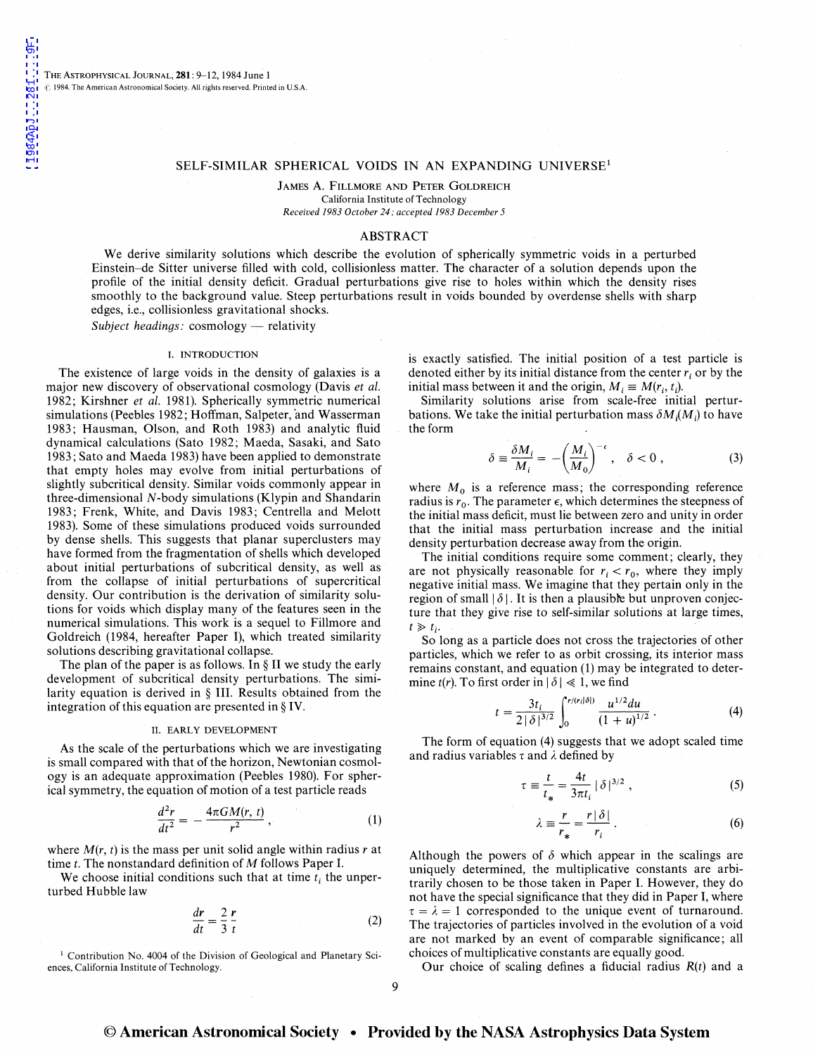$9F$ 

THE ASTROPHYSICAL JOURNAL, **281**: 9-12, 1984 June 1  $~$  1984. The American Astronomical Society. All rights reserved. Printed in U.S.A.

### SELF-SIMILAR SPHERICAL VOIDS IN AN EXPANDING UNIVERSE<sup>1</sup>

JAMES A. FILLMORE AND PETER GOLDREICH California Institute of Technology *Received 1983 October 24; accepted 1983 December 5* 

### ABSTRACT

We derive similarity solutions which describe the evolution of spherically symmetric voids in a perturbed Einstein-de Sitter universe filled with cold, collisionless matter. The character of a solution depends upon the profile of the initial density deficit. Gradual perturbations give rise to holes within which the density rises smoothly to the background value. Steep perturbations result in voids bounded by overdense shells with sharp edges, i.e., collisionless gravitational shocks.

*Subject headings:* cosmology — relativity

### I. INTRODUCTION

The existence of large voids in the density of galaxies is a major new discovery of observational cosmology (Davis *et al.*  1982; Kirshner *et al.* 1981). Spherically symmetric numerical simulations (Peebles 1982; Hoffman, Salpeter, and Wasserman 1983; Hausman, Olson, and Roth 1983) and analytic fluid dynamical calculations (Sato 1982; Maeda, Sasaki, and Sato 1983; Sato and Maeda 1983) have been applied to demonstrate that empty holes may evolve from initial perturbations of slightly subcritical density. Similar voids commonly appear in three-dimensional N-body simulations (Klypin and Shandarin 1983; Frenk, White, and Davis 1983; Centrella and Melott 1983). Some of these simulations produced voids surrounded by dense shells. This suggests that planar superclusters may have formed from the fragmentation of shells which developed about initial perturbations of subcritical density, as well as from the collapse of initial perturbations of supercritical density. Our contribution is the derivation of similarity solutions for voids which display many of the features seen in the numerical simulations. This work is a sequel to Fillmore and Goldreich (1984, hereafter Paper 1}, which treated similarity solutions describing gravitational collapse.

The plan of the paper is as follows. In § II we study the early development of subcritical density perturbations. The similarity equation is derived in § III. Results obtained from the integration of this equation are presented in§ IV.

## II. EARLY DEVELOPMENT

As the scale of the perturbations which we are investigating is small compared with that of the horizon, Newtonian cosmology is an adequate approximation (Peebles 1980). For spherical symmetry, the equation of motion of a test particle reads

$$
\frac{d^2r}{dt^2} = -\frac{4\pi GM(r, t)}{r^2},
$$
 (1)

where *M(r, t)* is the mass per unit solid angle within radius *r* at time  $t$ . The nonstandard definition of  $M$  follows Paper I.

We choose initial conditions such that at time  $t_i$  the unperturbed Hubble law

$$
\frac{dr}{dt} = \frac{2}{3} \frac{r}{t}
$$
 (2)

<sup>1</sup> Contribution No. 4004 of the Division of Geological and Planetary Sciences, California Institute of Technology.

is exactly satisfied. The initial position of a test particle is denoted either by its initial distance from the center *r;* or by the initial mass between it and the origin,  $M_i \equiv M(r_i, t_i)$ .

Similarity solutions arise from scale-free initial perturbations. We take the initial perturbation mass  $\delta M_i(M)$  to have the form

$$
\delta \equiv \frac{\delta M_i}{M_i} = -\left(\frac{M_i}{M_0}\right)^{-\epsilon}, \quad \delta < 0 , \tag{3}
$$

where  $M_0$  is a reference mass; the corresponding reference radius is  $r_0$ . The parameter  $\epsilon$ , which determines the steepness of the initial mass deficit, must lie between zero and unity in order that the initial mass perturbation increase and the initial density perturbation decrease away from the origin.

The initial conditions require some comment; clearly, they are not physically reasonable for  $r_i < r_0$ , where they imply negative initial mass. We imagine that they pertain only in the region of small  $|\delta|$ . It is then a plausible but unproven conjecture that they give rise to self-similar solutions at large times,  $t \geq t_i$ .

So long as a particle does not cross the trajectories of other particles, which we refer to as orbit crossing, its interior mass remains constant, and equation (1) may be integrated to determine *t*(*r*). To first order in  $|\delta| \ll 1$ , we find

$$
t = \frac{3t_i}{2|\delta|^{3/2}} \int_0^{r/(r_i|\delta|)} \frac{u^{1/2} du}{(1+u)^{1/2}} . \tag{4}
$$

The form of equation (4) suggests that we adopt scaled time and radius variables  $\tau$  and  $\lambda$  defined by

$$
\tau \equiv \frac{t}{t_*} = \frac{4t}{3\pi t_i} |\delta|^{3/2} , \qquad (5)
$$

$$
\lambda \equiv \frac{r}{r_*} = \frac{r |\delta|}{r_i} \,. \tag{6}
$$

Although the powers of  $\delta$  which appear in the scalings are uniquely determined, the multiplicative constants are arbitrarily chosen to be those taken in Paper I. However, they do not have the special significance that they did in Paper I, where  $\tau = \lambda = 1$  corresponded to the unique event of turnaround. The trajectories of particles involved in the evolution of a void are not marked by an event of comparable significance; all choices of multiplicative constants are equally good.

Our choice of scaling defines a fiducial radius  $R(t)$  and a

# © **American Astronomical Society • Provided by the NASA Astrophysics Data System**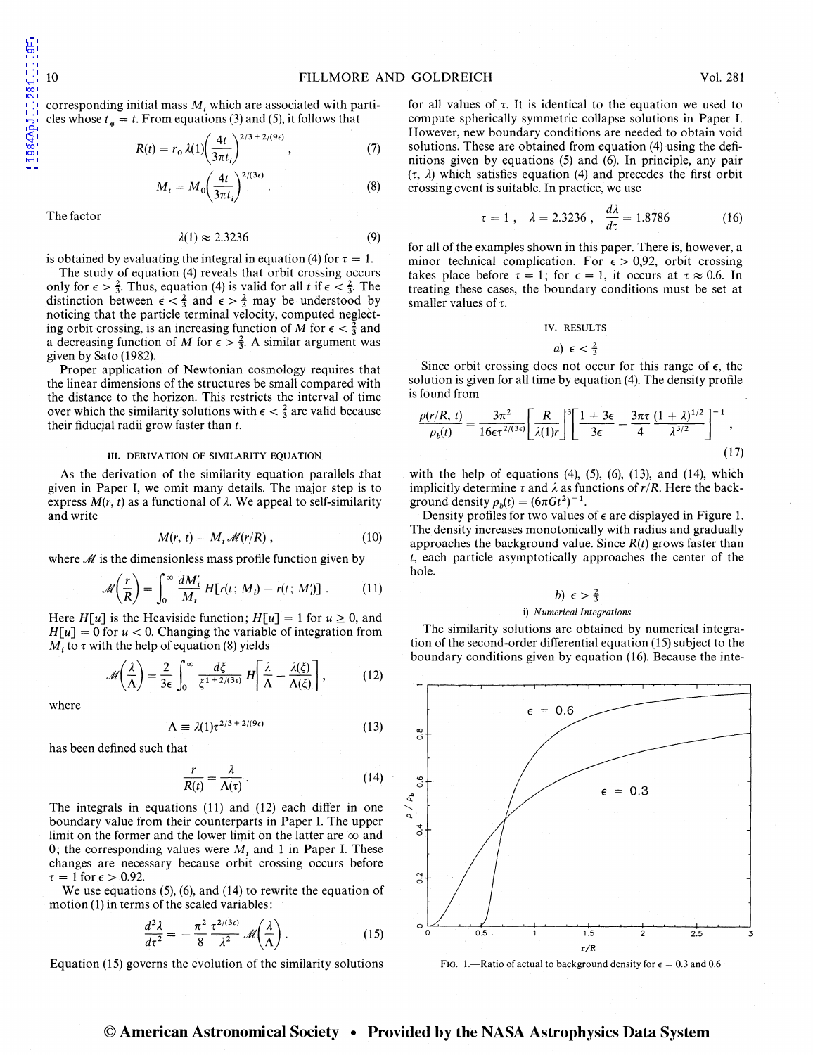corresponding initial mass *M*, which are associated with particles whose  $t_* = t$ . From equations (3) and (5), it follows that

$$
R(t) = r_0 \lambda(1) \left(\frac{4t}{3\pi t_i}\right)^{2/3 + 2/(9\epsilon)}, \qquad (7)
$$

 $M_t = M_0 \left( \frac{4t}{3\pi t_i} \right)^{2/(3\epsilon)}$ (8)

The factor

$$
\lambda(1) \approx 2.3236 \tag{9}
$$

is obtained by evaluating the integral in equation (4) for  $\tau = 1$ .

The study of equation (4) reveals that orbit crossing occurs only for  $\epsilon > \frac{2}{3}$ . Thus, equation (4) is valid for all *t* if  $\epsilon < \frac{2}{3}$ . The distinction between  $\epsilon < \frac{2}{3}$  and  $\epsilon > \frac{2}{3}$  may be understood by noticing that the particle terminal velocity, computed neglecting orbit crossing, is an increasing function of *M* for  $\epsilon < \frac{2}{3}$  and a decreasing function of M for  $\epsilon > \frac{2}{3}$ . A similar argument was given by Sato (1982).

Proper application of Newtonian cosmology requires that the linear dimensions of the structures be small compared with the distance to the horizon. This restricts the interval of time over which the similarity solutions with  $\epsilon < \frac{2}{3}$  are valid because their fiducial radii grow faster than *t.* 

#### III. DERIVATION OF SIMILARITY EQUATION

As the derivation of the similarity equation parallels that given in Paper I, we omit many details. The major step is to express  $M(r, t)$  as a functional of  $\lambda$ . We appeal to self-similarity and write

$$
M(r, t) = M_t \mathcal{M}(r/R), \qquad (10)
$$

where  $\mathcal M$  is the dimensionless mass profile function given by

$$
\mathcal{M}\left(\frac{r}{R}\right) = \int_0^\infty \frac{dM_i'}{M_t} H[r(t; M_i) - r(t; M_i')] \ . \tag{11}
$$

Here *H*[*u*] is the Heaviside function;  $H[u] = 1$  for  $u \ge 0$ , and  $H[u] = 0$  for  $u < 0$ . Changing the variable of integration from  $M_i$  to  $\tau$  with the help of equation (8) yields

$$
\mathcal{M}\left(\frac{\lambda}{\Lambda}\right) = \frac{2}{3\epsilon} \int_0^\infty \frac{d\xi}{\xi^{1+2/(3\epsilon)}} H\left[\frac{\lambda}{\Lambda} - \frac{\lambda(\xi)}{\Lambda(\xi)}\right],\tag{12}
$$

where

$$
\Lambda \equiv \lambda(1)\tau^{2/3 + 2/(9\epsilon)} \tag{13}
$$

has been defined such that

$$
\frac{r}{R(t)} = \frac{\lambda}{\Lambda(\tau)}\,. \tag{14}
$$

The integrals in equations (11) and (12) each differ in one boundary value from their counterparts in Paper I. The upper limit on the former and the lower limit on the latter are  $\infty$  and 0; the corresponding values were  $M_t$  and 1 in Paper I. These changes are necessary because orbit crossing occurs before  $\tau = 1$  for  $\epsilon > 0.92$ .

We use equations (5), (6), and (14) to rewrite the equation of motion (1) in terms of the scaled variables:

$$
\frac{d^2\lambda}{d\tau^2} = -\frac{\pi^2}{8} \frac{\tau^{2/(3\epsilon)}}{\lambda^2} \mathcal{M}\left(\frac{\lambda}{\Lambda}\right). \tag{15}
$$

Equation (15) governs the evolution of the similarity solutions

for all values of  $\tau$ . It is identical to the equation we used to compute spherically symmetric collapse solutions in Paper I. However, new boundary conditions are needed to obtain void solutions. These are obtained from equation (4) using the definitions given by equations (5) and (6). In principle, any pair  $(\tau, \lambda)$  which satisfies equation (4) and precedes the first orbit crossing event is suitable. In practice, we use

$$
\tau = 1
$$
,  $\lambda = 2.3236$ ,  $\frac{d\lambda}{d\tau} = 1.8786$  (16)

for all of the examples shown in this paper. There is, however, a minor technical complication. For  $\epsilon > 0.92$ , orbit crossing takes place before  $\tau = 1$ ; for  $\epsilon = 1$ , it occurs at  $\tau \approx 0.6$ . In treating these cases, the boundary conditions must be set at smaller values of  $\tau$ .

#### IV. RESULTS

$$
a) \epsilon < \frac{2}{3}
$$

Since orbit crossing does not occur for this range of  $\epsilon$ , the solution is given for all time by equation (4). The density profile is found from

$$
\frac{\rho(r/R,\,t)}{\rho_b(t)} = \frac{3\pi^2}{16\epsilon\tau^{2/(3\epsilon)}} \left[\frac{R}{\lambda(1)r}\right]^3 \left[\frac{1+3\epsilon}{3\epsilon} - \frac{3\pi\tau}{4} \frac{(1+\lambda)^{1/2}}{\lambda^{3/2}}\right]^{-1},\tag{17}
$$

with the help of equations  $(4)$ ,  $(5)$ ,  $(6)$ ,  $(13)$ , and  $(14)$ , which implicitly determine  $\tau$  and  $\lambda$  as functions of  $r/R$ . Here the background density  $\rho_b(t) = (6\pi Gt^2)^{-1}$ .

Density profiles for two values of  $\epsilon$  are displayed in Figure 1. The density increases monotonically with radius and gradually approaches the background value. Since  $R(t)$  grows faster than *t,* each particle asymptotically approaches the center of the hole.

## b)  $\epsilon > \frac{2}{3}$

#### i) *Numerical Integrations*

The similarity solutions are obtained by numerical integration of the second-order differential equation (15) subject to the boundary conditions given by equation (16). Because the inte-



FIG. 1.—Ratio of actual to background density for  $\epsilon = 0.3$  and 0.6

# © **American Astronomical Society • Provided by the NASA Astrophysics Data System**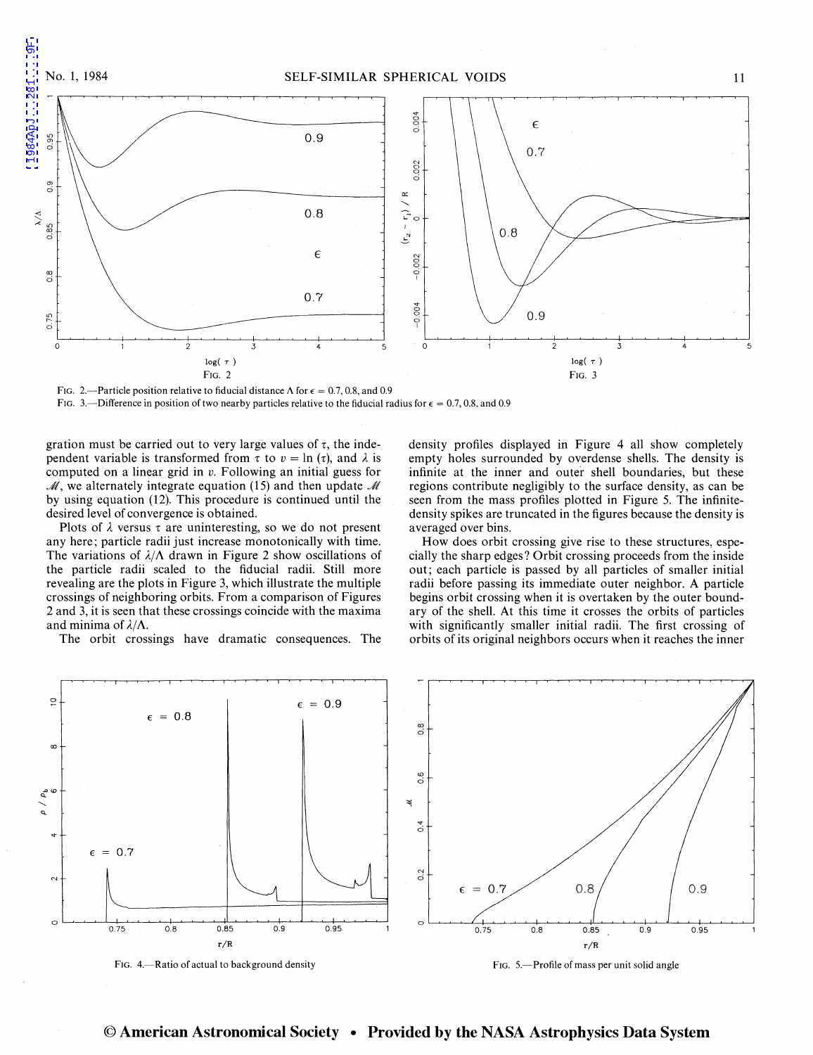

FIG. 2.—Particle position relative to fiducial distance  $\Lambda$  for  $\epsilon = 0.7, 0.8$ , and 0.9

FIG. 3.—Difference in position of two nearby particles relative to the fiducial radius for  $\epsilon = 0.7, 0.8$ , and 0.9

gration must be carried out to very large values of  $\tau$ , the independent variable is transformed from  $\tau$  to  $v = \ln(\tau)$ , and  $\lambda$  is computed on a linear grid in *v.* Following an initial guess for  $M$ , we alternately integrate equation (15) and then update M by using equation (12). This procedure is continued until the desired level of convergence is obtained.

Plots of  $\lambda$  versus  $\tau$  are uninteresting, so we do not present any here; particle radii just increase monotonically with time. The variations of  $\lambda/\Lambda$  drawn in Figure 2 show oscillations of the particle radii scaled to the fiducial radii. Still more revealing are the plots in Figure 3, which illustrate the multiple crossings of neighboring orbits. From a comparison of Figures 2 and 3, it is seen that these crossings coincide with the maxima and minima of  $\lambda/\Lambda$ .

The orbit crossings have dramatic consequences. The

density profiles displayed in Figure 4 all show completely empty holes surrounded by overdense shells. The density is infinite at the inner and outer shell boundaries, but these regions contribute negligibly to the surface density, as can be seen from the mass profiles plotted in Figure 5. The infinitedensity spikes are truncated in the figures because the density is averaged over bins.

How does orbit crossing give rise to these structures, especially the sharp edges? Orbit crossing proceeds from the inside out; each particle is passed by all particles of smaller initial radii before passing its immediate outer neighbor. A particle begins orbit crossing when it is overtaken by the outer boundary of the shell. At this time it crosses the orbits of particles with significantly smaller initial radii. The first crossing of orbits of its original neighbors occurs when it reaches the inner